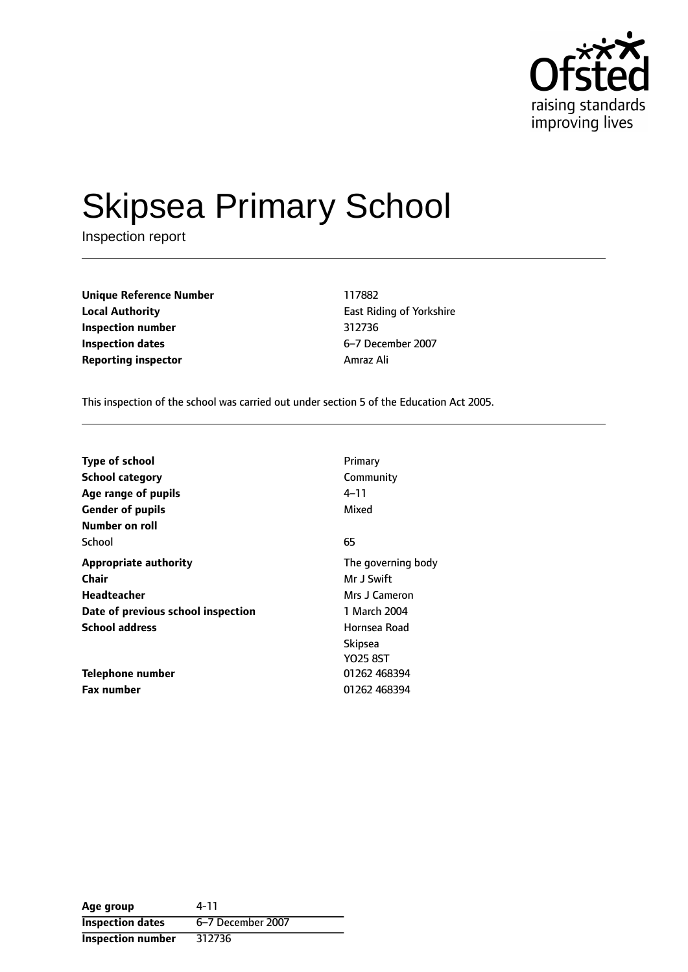

# Skipsea Primary School

Inspection report

**Unique Reference Number** 117882 **Local Authority East Riding of Yorkshire Inspection number** 312736 **Inspection dates** 6-7 December 2007 **Reporting inspector Amraz Ali** 

This inspection of the school was carried out under section 5 of the Education Act 2005.

| <b>Type of school</b>              | Primary            |
|------------------------------------|--------------------|
| <b>School category</b>             | Community          |
| Age range of pupils                | 4–11               |
| <b>Gender of pupils</b>            | Mixed              |
| Number on roll                     |                    |
| School                             | 65                 |
| <b>Appropriate authority</b>       | The governing body |
| Chair                              | Mr J Swift         |
| Headteacher                        | Mrs J Cameron      |
| Date of previous school inspection | 1 March 2004       |
| <b>School address</b>              | Hornsea Road       |
|                                    | <b>Skipsea</b>     |
|                                    | <b>YO25 8ST</b>    |
| Telephone number                   | 01262 468394       |
| <b>Fax number</b>                  | 01262 468394       |

**Age group** 4-11 **Inspection dates** 6-7 December 2007 **Inspection number** 312736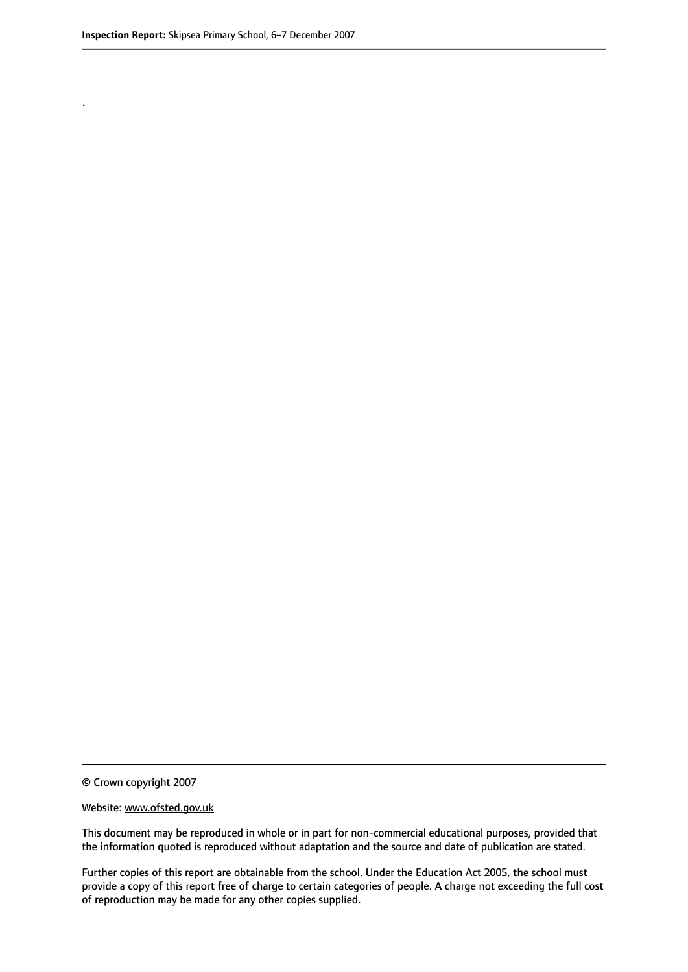.

© Crown copyright 2007

#### Website: www.ofsted.gov.uk

This document may be reproduced in whole or in part for non-commercial educational purposes, provided that the information quoted is reproduced without adaptation and the source and date of publication are stated.

Further copies of this report are obtainable from the school. Under the Education Act 2005, the school must provide a copy of this report free of charge to certain categories of people. A charge not exceeding the full cost of reproduction may be made for any other copies supplied.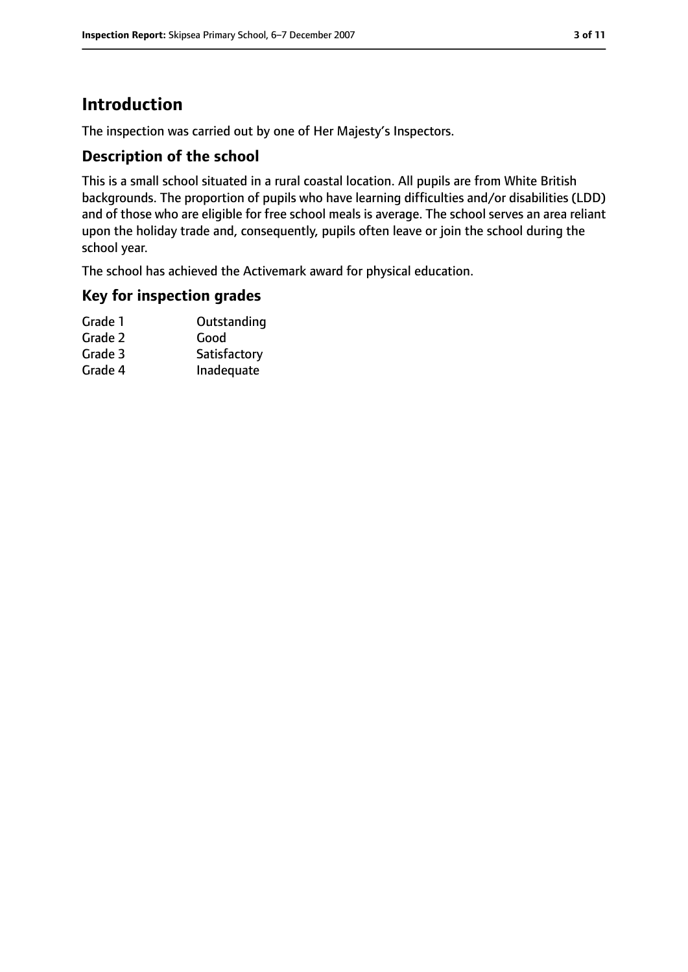### **Introduction**

The inspection was carried out by one of Her Majesty's Inspectors.

#### **Description of the school**

This is a small school situated in a rural coastal location. All pupils are from White British backgrounds. The proportion of pupils who have learning difficulties and/or disabilities (LDD) and of those who are eligible for free school meals is average. The school serves an area reliant upon the holiday trade and, consequently, pupils often leave or join the school during the school year.

The school has achieved the Activemark award for physical education.

#### **Key for inspection grades**

| Grade 1 | Outstanding  |
|---------|--------------|
| Grade 2 | Good         |
| Grade 3 | Satisfactory |
| Grade 4 | Inadequate   |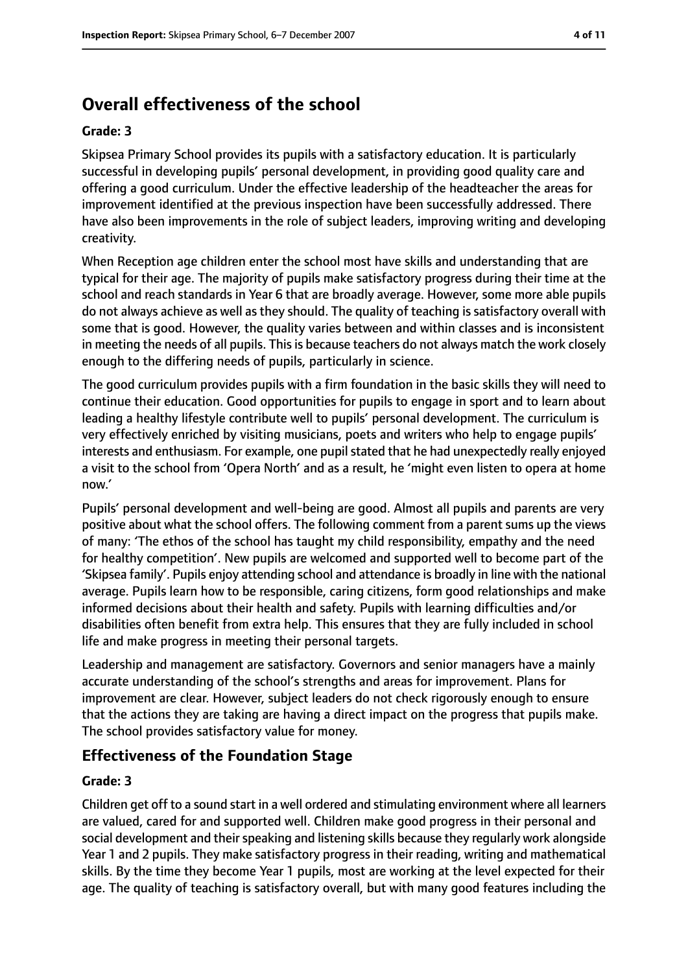### **Overall effectiveness of the school**

#### **Grade: 3**

Skipsea Primary School provides its pupils with a satisfactory education. It is particularly successful in developing pupils' personal development, in providing good quality care and offering a good curriculum. Under the effective leadership of the headteacher the areas for improvement identified at the previous inspection have been successfully addressed. There have also been improvements in the role of subject leaders, improving writing and developing creativity.

When Reception age children enter the school most have skills and understanding that are typical for their age. The majority of pupils make satisfactory progress during their time at the school and reach standards in Year 6 that are broadly average. However, some more able pupils do not always achieve as well as they should. The quality of teaching is satisfactory overall with some that is good. However, the quality varies between and within classes and is inconsistent in meeting the needs of all pupils. This is because teachers do not always match the work closely enough to the differing needs of pupils, particularly in science.

The good curriculum provides pupils with a firm foundation in the basic skills they will need to continue their education. Good opportunities for pupils to engage in sport and to learn about leading a healthy lifestyle contribute well to pupils' personal development. The curriculum is very effectively enriched by visiting musicians, poets and writers who help to engage pupils' interests and enthusiasm. For example, one pupil stated that he had unexpectedly really enjoyed a visit to the school from 'Opera North' and as a result, he 'might even listen to opera at home now.'

Pupils' personal development and well-being are good. Almost all pupils and parents are very positive about what the school offers. The following comment from a parent sums up the views of many: 'The ethos of the school has taught my child responsibility, empathy and the need for healthy competition'. New pupils are welcomed and supported well to become part of the 'Skipsea family'. Pupils enjoy attending school and attendance is broadly in line with the national average. Pupils learn how to be responsible, caring citizens, form good relationships and make informed decisions about their health and safety. Pupils with learning difficulties and/or disabilities often benefit from extra help. This ensures that they are fully included in school life and make progress in meeting their personal targets.

Leadership and management are satisfactory. Governors and senior managers have a mainly accurate understanding of the school's strengths and areas for improvement. Plans for improvement are clear. However, subject leaders do not check rigorously enough to ensure that the actions they are taking are having a direct impact on the progress that pupils make. The school provides satisfactory value for money.

#### **Effectiveness of the Foundation Stage**

#### **Grade: 3**

Children get off to a sound start in a well ordered and stimulating environment where all learners are valued, cared for and supported well. Children make good progress in their personal and social development and their speaking and listening skills because they regularly work alongside Year 1 and 2 pupils. They make satisfactory progress in their reading, writing and mathematical skills. By the time they become Year 1 pupils, most are working at the level expected for their age. The quality of teaching is satisfactory overall, but with many good features including the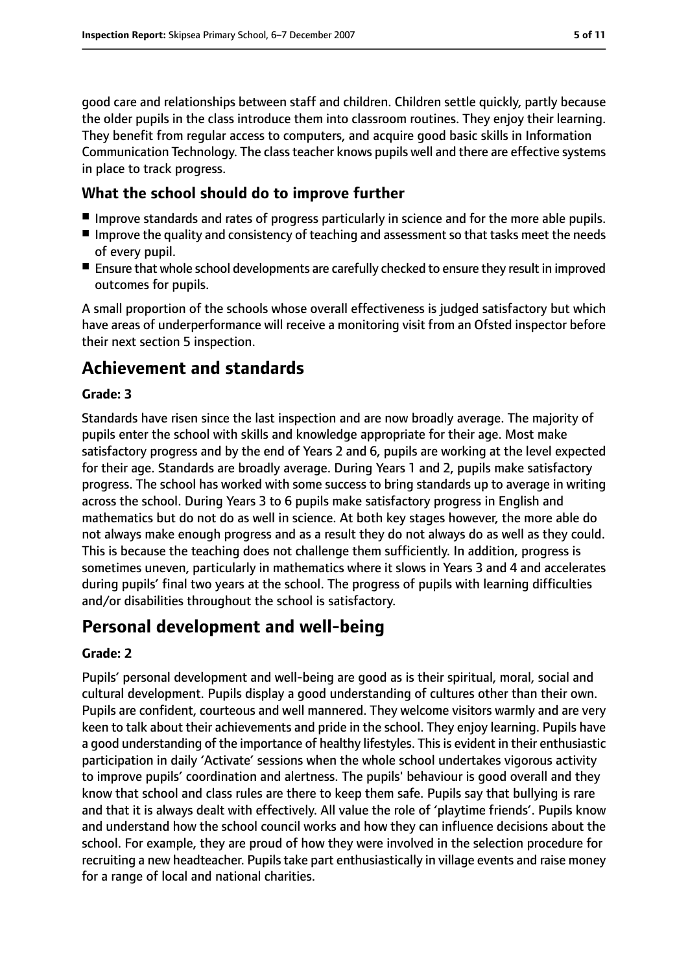good care and relationships between staff and children. Children settle quickly, partly because the older pupils in the class introduce them into classroom routines. They enjoy their learning. They benefit from regular access to computers, and acquire good basic skills in Information Communication Technology. The classteacher knows pupils well and there are effective systems in place to track progress.

#### **What the school should do to improve further**

- Improve standards and rates of progress particularly in science and for the more able pupils.
- Improve the quality and consistency of teaching and assessment so that tasks meet the needs of every pupil.
- Ensure that whole school developments are carefully checked to ensure they result in improved outcomes for pupils.

A small proportion of the schools whose overall effectiveness is judged satisfactory but which have areas of underperformance will receive a monitoring visit from an Ofsted inspector before their next section 5 inspection.

### **Achievement and standards**

#### **Grade: 3**

Standards have risen since the last inspection and are now broadly average. The majority of pupils enter the school with skills and knowledge appropriate for their age. Most make satisfactory progress and by the end of Years 2 and 6, pupils are working at the level expected for their age. Standards are broadly average. During Years 1 and 2, pupils make satisfactory progress. The school has worked with some success to bring standards up to average in writing across the school. During Years 3 to 6 pupils make satisfactory progress in English and mathematics but do not do as well in science. At both key stages however, the more able do not always make enough progress and as a result they do not always do as well as they could. This is because the teaching does not challenge them sufficiently. In addition, progress is sometimes uneven, particularly in mathematics where it slows in Years 3 and 4 and accelerates during pupils' final two years at the school. The progress of pupils with learning difficulties and/or disabilities throughout the school is satisfactory.

### **Personal development and well-being**

#### **Grade: 2**

Pupils' personal development and well-being are good as is their spiritual, moral, social and cultural development. Pupils display a good understanding of cultures other than their own. Pupils are confident, courteous and well mannered. They welcome visitors warmly and are very keen to talk about their achievements and pride in the school. They enjoy learning. Pupils have a good understanding of the importance of healthy lifestyles. This is evident in their enthusiastic participation in daily 'Activate' sessions when the whole school undertakes vigorous activity to improve pupils' coordination and alertness. The pupils' behaviour is good overall and they know that school and class rules are there to keep them safe. Pupils say that bullying is rare and that it is always dealt with effectively. All value the role of 'playtime friends'. Pupils know and understand how the school council works and how they can influence decisions about the school. For example, they are proud of how they were involved in the selection procedure for recruiting a new headteacher. Pupils take part enthusiastically in village events and raise money for a range of local and national charities.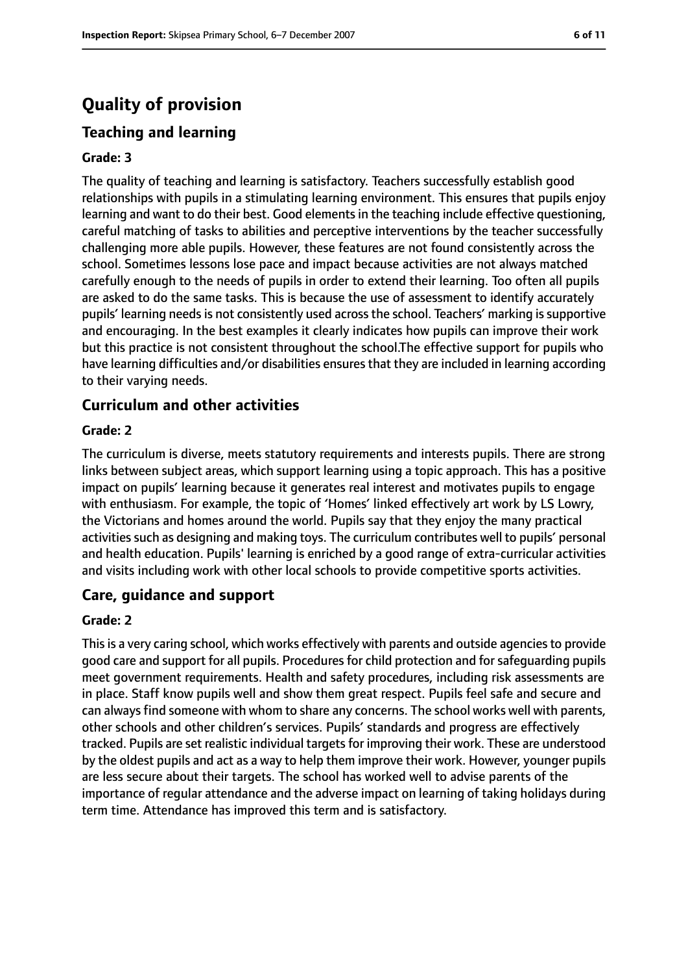### **Quality of provision**

#### **Teaching and learning**

#### **Grade: 3**

The quality of teaching and learning is satisfactory. Teachers successfully establish good relationships with pupils in a stimulating learning environment. This ensures that pupils enjoy learning and want to do their best. Good elements in the teaching include effective questioning, careful matching of tasks to abilities and perceptive interventions by the teacher successfully challenging more able pupils. However, these features are not found consistently across the school. Sometimes lessons lose pace and impact because activities are not always matched carefully enough to the needs of pupils in order to extend their learning. Too often all pupils are asked to do the same tasks. This is because the use of assessment to identify accurately pupils' learning needs is not consistently used across the school. Teachers' marking is supportive and encouraging. In the best examples it clearly indicates how pupils can improve their work but this practice is not consistent throughout the school.The effective support for pupils who have learning difficulties and/or disabilities ensures that they are included in learning according to their varying needs.

#### **Curriculum and other activities**

#### **Grade: 2**

The curriculum is diverse, meets statutory requirements and interests pupils. There are strong links between subject areas, which support learning using a topic approach. This has a positive impact on pupils' learning because it generates real interest and motivates pupils to engage with enthusiasm. For example, the topic of 'Homes' linked effectively art work by LS Lowry, the Victorians and homes around the world. Pupils say that they enjoy the many practical activities such as designing and making toys. The curriculum contributes well to pupils' personal and health education. Pupils' learning is enriched by a good range of extra-curricular activities and visits including work with other local schools to provide competitive sports activities.

#### **Care, guidance and support**

#### **Grade: 2**

This is a very caring school, which works effectively with parents and outside agencies to provide good care and support for all pupils. Procedures for child protection and for safeguarding pupils meet government requirements. Health and safety procedures, including risk assessments are in place. Staff know pupils well and show them great respect. Pupils feel safe and secure and can always find someone with whom to share any concerns. The school works well with parents, other schools and other children's services. Pupils' standards and progress are effectively tracked. Pupils are set realistic individual targetsfor improving their work. These are understood by the oldest pupils and act as a way to help them improve their work. However, younger pupils are less secure about their targets. The school has worked well to advise parents of the importance of regular attendance and the adverse impact on learning of taking holidays during term time. Attendance has improved this term and is satisfactory.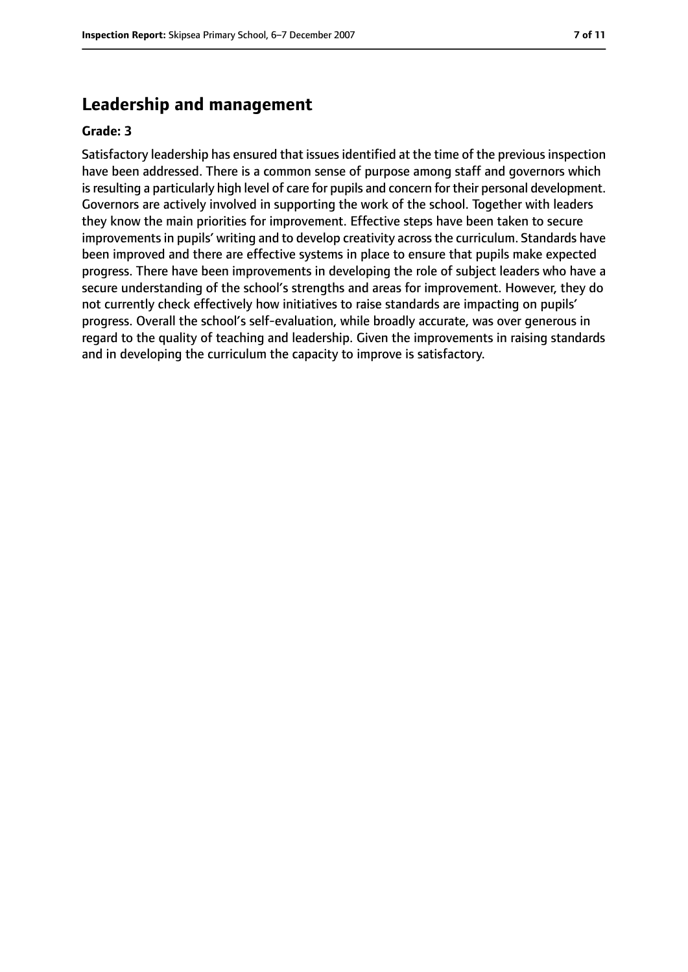#### **Leadership and management**

#### **Grade: 3**

Satisfactory leadership has ensured that issues identified at the time of the previous inspection have been addressed. There is a common sense of purpose among staff and governors which isresulting a particularly high level of care for pupils and concern for their personal development. Governors are actively involved in supporting the work of the school. Together with leaders they know the main priorities for improvement. Effective steps have been taken to secure improvements in pupils' writing and to develop creativity across the curriculum. Standards have been improved and there are effective systems in place to ensure that pupils make expected progress. There have been improvements in developing the role of subject leaders who have a secure understanding of the school's strengths and areas for improvement. However, they do not currently check effectively how initiatives to raise standards are impacting on pupils' progress. Overall the school's self-evaluation, while broadly accurate, was over generous in regard to the quality of teaching and leadership. Given the improvements in raising standards and in developing the curriculum the capacity to improve is satisfactory.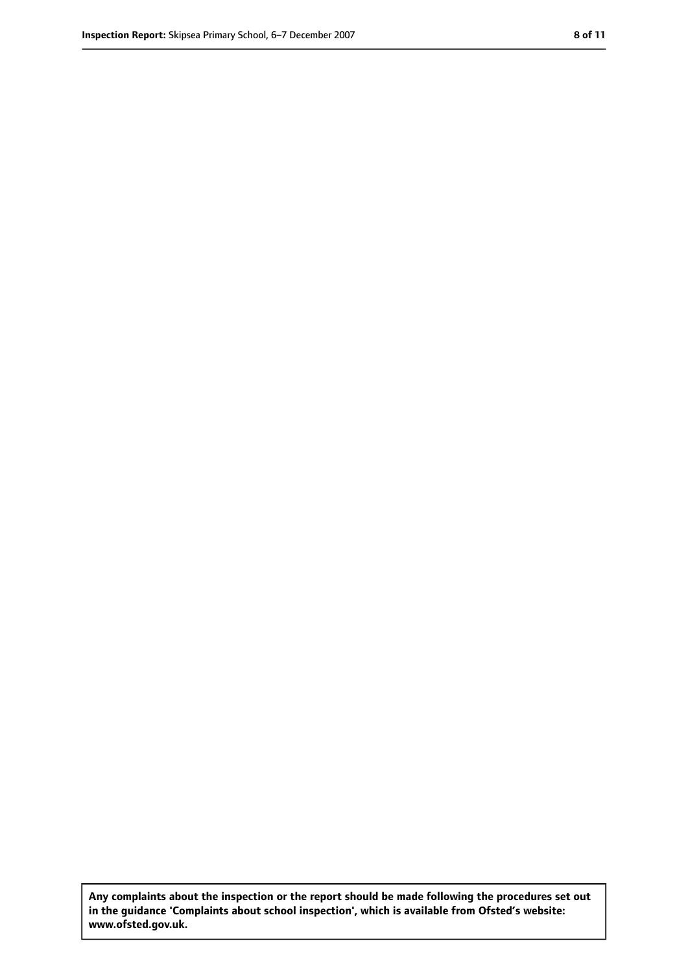**Any complaints about the inspection or the report should be made following the procedures set out in the guidance 'Complaints about school inspection', which is available from Ofsted's website: www.ofsted.gov.uk.**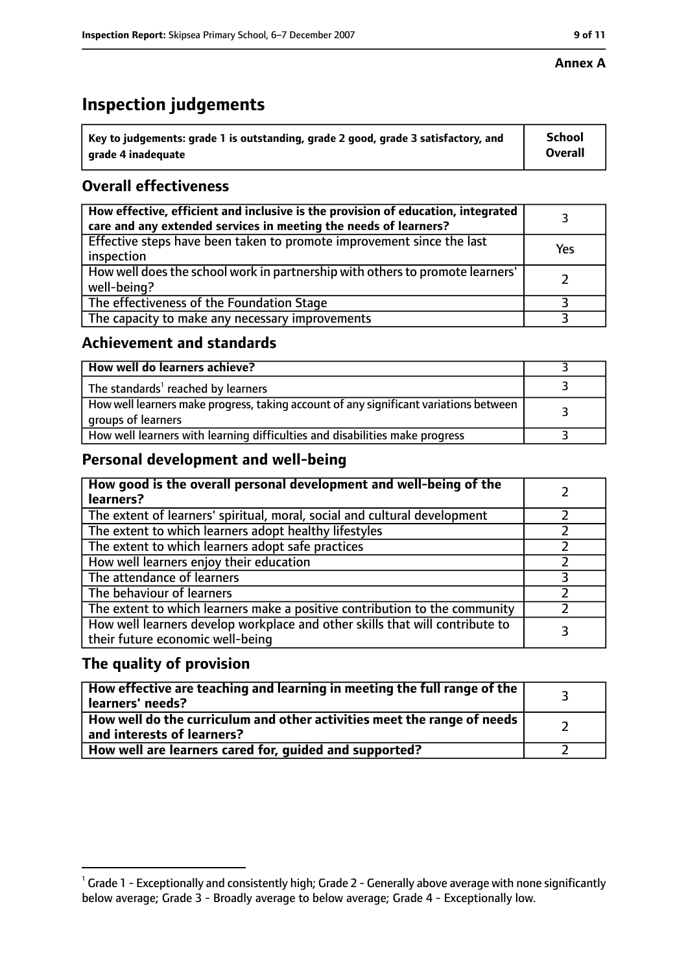#### **Annex A**

## **Inspection judgements**

| $^{\backprime}$ Key to judgements: grade 1 is outstanding, grade 2 good, grade 3 satisfactory, and | <b>School</b>  |
|----------------------------------------------------------------------------------------------------|----------------|
| arade 4 inadequate                                                                                 | <b>Overall</b> |

### **Overall effectiveness**

| How effective, efficient and inclusive is the provision of education, integrated<br>care and any extended services in meeting the needs of learners? |     |
|------------------------------------------------------------------------------------------------------------------------------------------------------|-----|
| Effective steps have been taken to promote improvement since the last<br>inspection                                                                  | Yes |
| How well does the school work in partnership with others to promote learners'<br>well-being?                                                         |     |
| The effectiveness of the Foundation Stage                                                                                                            |     |
| The capacity to make any necessary improvements                                                                                                      |     |

#### **Achievement and standards**

| How well do learners achieve?                                                                               |  |
|-------------------------------------------------------------------------------------------------------------|--|
| The standards <sup>1</sup> reached by learners                                                              |  |
| How well learners make progress, taking account of any significant variations between<br>groups of learners |  |
| How well learners with learning difficulties and disabilities make progress                                 |  |

#### **Personal development and well-being**

| How good is the overall personal development and well-being of the<br>learners?                                  |  |
|------------------------------------------------------------------------------------------------------------------|--|
| The extent of learners' spiritual, moral, social and cultural development                                        |  |
| The extent to which learners adopt healthy lifestyles                                                            |  |
| The extent to which learners adopt safe practices                                                                |  |
| How well learners enjoy their education                                                                          |  |
| The attendance of learners                                                                                       |  |
| The behaviour of learners                                                                                        |  |
| The extent to which learners make a positive contribution to the community                                       |  |
| How well learners develop workplace and other skills that will contribute to<br>their future economic well-being |  |

#### **The quality of provision**

| How effective are teaching and learning in meeting the full range of the<br>learners' needs?          |  |
|-------------------------------------------------------------------------------------------------------|--|
| How well do the curriculum and other activities meet the range of needs<br>and interests of learners? |  |
| How well are learners cared for, quided and supported?                                                |  |

 $^1$  Grade 1 - Exceptionally and consistently high; Grade 2 - Generally above average with none significantly below average; Grade 3 - Broadly average to below average; Grade 4 - Exceptionally low.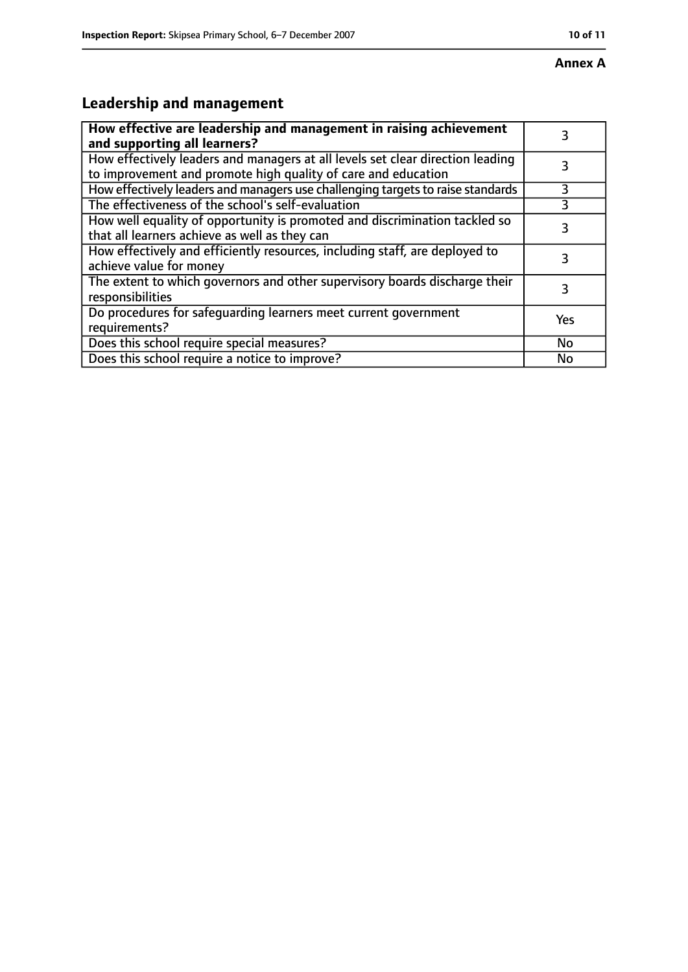#### **Annex A**

### **Leadership and management**

| How effective are leadership and management in raising achievement<br>and supporting all learners?                                              |     |
|-------------------------------------------------------------------------------------------------------------------------------------------------|-----|
| How effectively leaders and managers at all levels set clear direction leading<br>to improvement and promote high quality of care and education |     |
| How effectively leaders and managers use challenging targets to raise standards                                                                 | 3   |
| The effectiveness of the school's self-evaluation                                                                                               |     |
| How well equality of opportunity is promoted and discrimination tackled so<br>that all learners achieve as well as they can                     |     |
| How effectively and efficiently resources, including staff, are deployed to<br>achieve value for money                                          | 3   |
| The extent to which governors and other supervisory boards discharge their<br>responsibilities                                                  | 3   |
| Do procedures for safequarding learners meet current government<br>requirements?                                                                | Yes |
| Does this school require special measures?                                                                                                      | No  |
| Does this school require a notice to improve?                                                                                                   | No  |